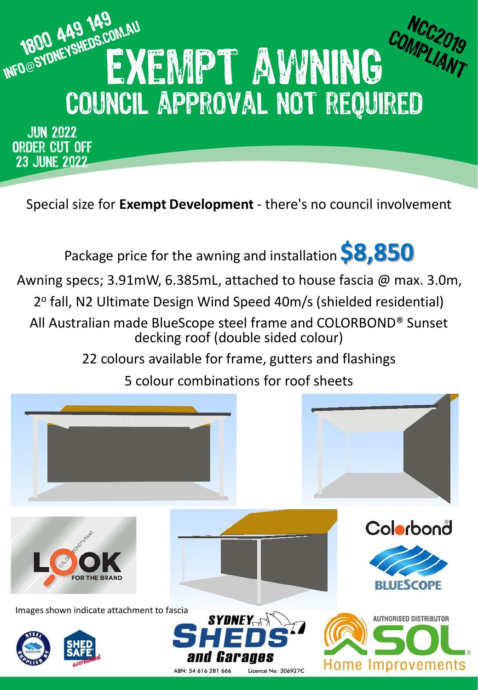

ORDER CUT OFF **23 JUNE 2022** 

Special size for **Exempt Development** - there's no council involvement



Awning specs; 3.91mW, 6.385mL, attached to house fascia @ max. 3.0m,

2º fall, N2 Ultimate Design Wind Speed 40m/s (shielded residential)

All Australian made BlueScope steel frame and COLORBOND® Sunset decking roof (double sided colour)

22 colours available for frame, gutters and flashings

5 colour combinations for roof sheets